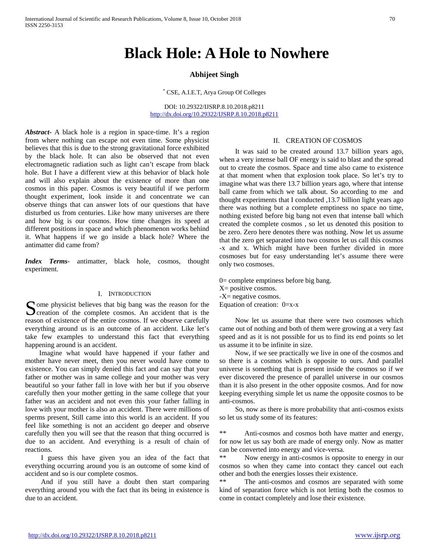# **Black Hole: A Hole to Nowhere**

# **Abhijeet Singh**

\* CSE, A.I.E.T, Arya Group Of Colleges

DOI: 10.29322/IJSRP.8.10.2018.p8211 <http://dx.doi.org/10.29322/IJSRP.8.10.2018.p8211>

*Abstract***-** A black hole is a region in space-time. It's a region from where nothing can escape not even time. Some physicist believes that this is due to the strong gravitational force exhibited by the black hole. It can also be observed that not even electromagnetic radiation such as light can't escape from black hole. But I have a different view at this behavior of black hole and will also explain about the existence of more than one cosmos in this paper. Cosmos is very beautiful if we perform thought experiment, look inside it and concentrate we can observe things that can answer lots of our questions that have disturbed us from centuries. Like how many universes are there and how big is our cosmos. How time changes its speed at different positions in space and which phenomenon works behind it. What happens if we go inside a black hole? Where the antimatter did came from?

*Index Terms*- antimatter, black hole, cosmos, thought experiment.

#### I. INTRODUCTION

ome physicist believes that big bang was the reason for the Some physicist believes that big bang was the reason for the creation of the complete cosmos. An accident that is the reason of existence of the entire cosmos. If we observe carefully everything around us is an outcome of an accident. Like let's take few examples to understand this fact that everything happening around is an accident.

 Imagine what would have happened if your father and mother have never meet, then you never would have come to existence. You can simply denied this fact and can say that your father or mother was in same college and your mother was very beautiful so your father fall in love with her but if you observe carefully then your mother getting in the same college that your father was an accident and not even this your father falling in love with your mother is also an accident. There were millions of sperms present, Still came into this world is an accident. If you feel like something is not an accident go deeper and observe carefully then you will see that the reason that thing occurred is due to an accident. And everything is a result of chain of reactions.

 I guess this have given you an idea of the fact that everything occurring around you is an outcome of some kind of accident and so is our complete cosmos.

 And if you still have a doubt then start comparing everything around you with the fact that its being in existence is due to an accident.

#### II. CREATION OF COSMOS

 It was said to be created around 13.7 billion years ago, when a very intense ball OF energy is said to blast and the spread out to create the cosmos. Space and time also came to existence at that moment when that explosion took place. So let's try to imagine what was there 13.7 billion years ago, where that intense ball came from which we talk about. So according to me and thought experiments that I conducted ,13.7 billion light years ago there was nothing but a complete emptiness no space no time, nothing existed before big bang not even that intense ball which created the complete cosmos , so let us denoted this position to be zero. Zero here denotes there was nothing. Now let us assume that the zero get separated into two cosmos let us call this cosmos -x and x. Which might have been further divided in more cosmoses but for easy understanding let's assume there were only two cosmoses.

0= complete emptiness before big bang. X= positive cosmos. -X= negative cosmos. Equation of creation: 0=x-x

 Now let us assume that there were two cosmoses which came out of nothing and both of them were growing at a very fast speed and as it is not possible for us to find its end points so let us assume it to be infinite in size.

 Now, if we see practically we live in one of the cosmos and so there is a cosmos which is opposite to ours. And parallel universe is something that is present inside the cosmos so if we ever discovered the presence of parallel universe in our cosmos than it is also present in the other opposite cosmos. And for now keeping everything simple let us name the opposite cosmos to be anti-cosmos.

 So, now as there is more probability that anti-cosmos exists so let us study some of its features:

\*\* Anti-cosmos and cosmos both have matter and energy, for now let us say both are made of energy only. Now as matter can be converted into energy and vice-versa.

\*\* Now energy in anti-cosmos is opposite to energy in our cosmos so when they came into contact they cancel out each other and both the energies losses their existence.

The anti-cosmos and cosmos are separated with some kind of separation force which is not letting both the cosmos to come in contact completely and lose their existence.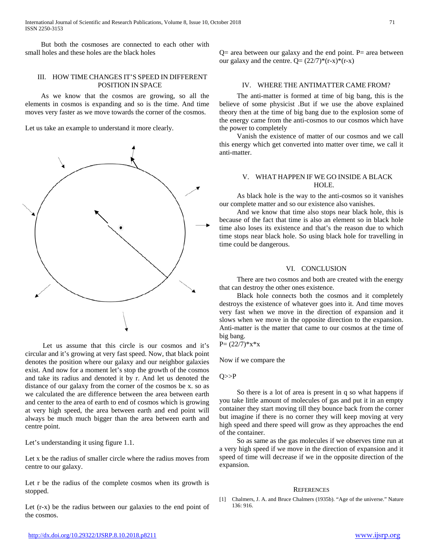But both the cosmoses are connected to each other with small holes and these holes are the black holes

## III. HOW TIME CHANGES IT'S SPEED IN DIFFERENT POSITION IN SPACE

 As we know that the cosmos are growing, so all the elements in cosmos is expanding and so is the time. And time moves very faster as we move towards the corner of the cosmos.

Let us take an example to understand it more clearly.



 Let us assume that this circle is our cosmos and it's circular and it's growing at very fast speed. Now, that black point denotes the position where our galaxy and our neighbor galaxies exist. And now for a moment let's stop the growth of the cosmos and take its radius and denoted it by r. And let us denoted the distance of our galaxy from the corner of the cosmos be x. so as we calculated the are difference between the area between earth and center to the area of earth to end of cosmos which is growing at very high speed, the area between earth and end point will always be much much bigger than the area between earth and centre point.

Let's understanding it using figure 1.1.

Let x be the radius of smaller circle where the radius moves from centre to our galaxy.

Let r be the radius of the complete cosmos when its growth is stopped.

Let (r-x) be the radius between our galaxies to the end point of the cosmos.

 $Q=$  area between our galaxy and the end point. P= area between our galaxy and the centre.  $Q = (22/7) * (r-x) * (r-x)$ 

### IV. WHERE THE ANTIMATTER CAME FROM?

 The anti-matter is formed at time of big bang, this is the believe of some physicist .But if we use the above explained theory then at the time of big bang due to the explosion some of the energy came from the anti-cosmos to our cosmos which have the power to completely

 Vanish the existence of matter of our cosmos and we call this energy which get converted into matter over time, we call it anti-matter.

## V. WHAT HAPPEN IF WE GO INSIDE A BLACK HOLE.

 As black hole is the way to the anti-cosmos so it vanishes our complete matter and so our existence also vanishes.

 And we know that time also stops near black hole, this is because of the fact that time is also an element so in black hole time also loses its existence and that's the reason due to which time stops near black hole. So using black hole for travelling in time could be dangerous.

#### VI. CONCLUSION

 There are two cosmos and both are created with the energy that can destroy the other ones existence.

 Black hole connects both the cosmos and it completely destroys the existence of whatever goes into it. And time moves very fast when we move in the direction of expansion and it slows when we move in the opposite direction to the expansion. Anti-matter is the matter that came to our cosmos at the time of big bang.

$$
P = (22/7)*x*x
$$

Now if we compare the

 $O \rightarrow P$ 

 So there is a lot of area is present in q so what happens if you take little amount of molecules of gas and put it in an empty container they start moving till they bounce back from the corner but imagine if there is no corner they will keep moving at very high speed and there speed will grow as they approaches the end of the container.

 So as same as the gas molecules if we observes time run at a very high speed if we move in the direction of expansion and it speed of time will decrease if we in the opposite direction of the expansion.

#### **REFERENCES**

[1] Chalmers, J. A. and Bruce Chalmers (1935b). "Age of the universe." Nature 136: 916.